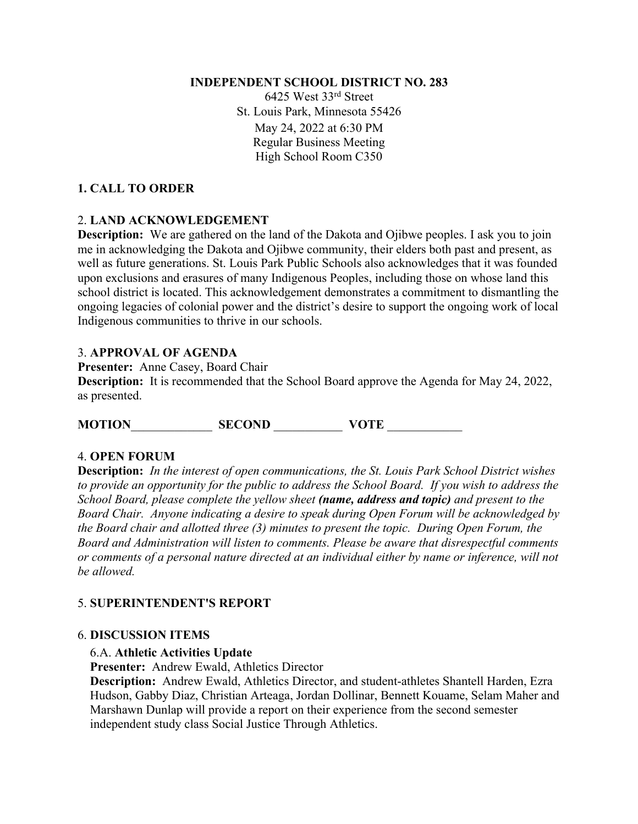#### **INDEPENDENT SCHOOL DISTRICT NO. 283**

6425 West 33rd Street St. Louis Park, Minnesota 55426 May 24, 2022 at 6:30 PM Regular Business Meeting High School Room C350

## **1. CALL TO ORDER**

## 2. **LAND ACKNOWLEDGEMENT**

**Description:** We are gathered on the land of the Dakota and Ojibwe peoples. I ask you to join me in acknowledging the Dakota and Ojibwe community, their elders both past and present, as well as future generations. St. Louis Park Public Schools also acknowledges that it was founded upon exclusions and erasures of many Indigenous Peoples, including those on whose land this school district is located. This acknowledgement demonstrates a commitment to dismantling the ongoing legacies of colonial power and the district's desire to support the ongoing work of local Indigenous communities to thrive in our schools.

## 3. **APPROVAL OF AGENDA**

**Presenter:** Anne Casey, Board Chair **Description:** It is recommended that the School Board approve the Agenda for May 24, 2022, as presented.

**MOTION**\_\_\_\_\_\_\_\_\_\_\_\_\_ **SECOND** \_\_\_\_\_\_\_\_\_\_\_ **VOTE** \_\_\_\_\_\_\_\_\_\_\_\_

## 4. **OPEN FORUM**

**Description:** *In the interest of open communications, the St. Louis Park School District wishes to provide an opportunity for the public to address the School Board. If you wish to address the School Board, please complete the yellow sheet (name, address and topic) and present to the Board Chair. Anyone indicating a desire to speak during Open Forum will be acknowledged by the Board chair and allotted three (3) minutes to present the topic. During Open Forum, the Board and Administration will listen to comments. Please be aware that disrespectful comments or comments of a personal nature directed at an individual either by name or inference, will not be allowed.* 

## 5. **SUPERINTENDENT'S REPORT**

#### 6. **DISCUSSION ITEMS**

## 6.A. **Athletic Activities Update**

**Presenter:** Andrew Ewald, Athletics Director

**Description:** Andrew Ewald, Athletics Director, and student-athletes Shantell Harden, Ezra Hudson, Gabby Diaz, Christian Arteaga, Jordan Dollinar, Bennett Kouame, Selam Maher and Marshawn Dunlap will provide a report on their experience from the second semester independent study class Social Justice Through Athletics.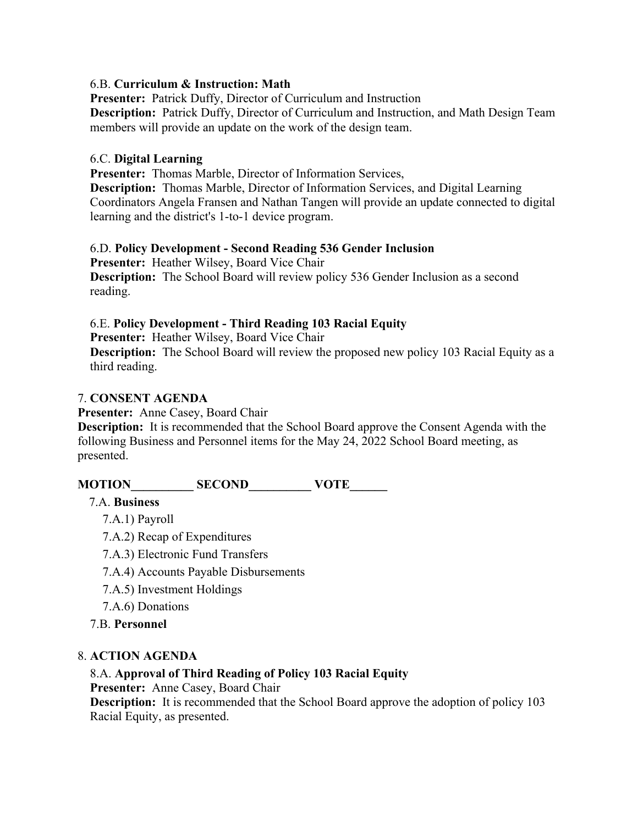#### 6.B. **Curriculum & Instruction: Math**

**Presenter:** Patrick Duffy, Director of Curriculum and Instruction **Description:** Patrick Duffy, Director of Curriculum and Instruction, and Math Design Team members will provide an update on the work of the design team.

#### 6.C. **Digital Learning**

**Presenter:** Thomas Marble, Director of Information Services,

**Description:** Thomas Marble, Director of Information Services, and Digital Learning Coordinators Angela Fransen and Nathan Tangen will provide an update connected to digital learning and the district's 1-to-1 device program.

#### 6.D. **Policy Development - Second Reading 536 Gender Inclusion**

**Presenter:** Heather Wilsey, Board Vice Chair **Description:** The School Board will review policy 536 Gender Inclusion as a second reading.

## 6.E. **Policy Development - Third Reading 103 Racial Equity**

**Presenter:** Heather Wilsey, Board Vice Chair

**Description:** The School Board will review the proposed new policy 103 Racial Equity as a third reading.

#### 7. **CONSENT AGENDA**

**Presenter:** Anne Casey, Board Chair

**Description:** It is recommended that the School Board approve the Consent Agenda with the following Business and Personnel items for the May 24, 2022 School Board meeting, as presented.

# **MOTION\_\_\_\_\_\_\_\_\_\_ SECOND\_\_\_\_\_\_\_\_\_\_ VOTE\_\_\_\_\_\_**

## 7.A. **Business**

- 7.A.1) Payroll
- 7.A.2) Recap of Expenditures
- 7.A.3) Electronic Fund Transfers
- 7.A.4) Accounts Payable Disbursements
- 7.A.5) Investment Holdings
- 7.A.6) Donations
- 7.B. **Personnel**

## 8. **ACTION AGENDA**

## 8.A. **Approval of Third Reading of Policy 103 Racial Equity**

**Presenter:** Anne Casey, Board Chair

**Description:** It is recommended that the School Board approve the adoption of policy 103 Racial Equity, as presented.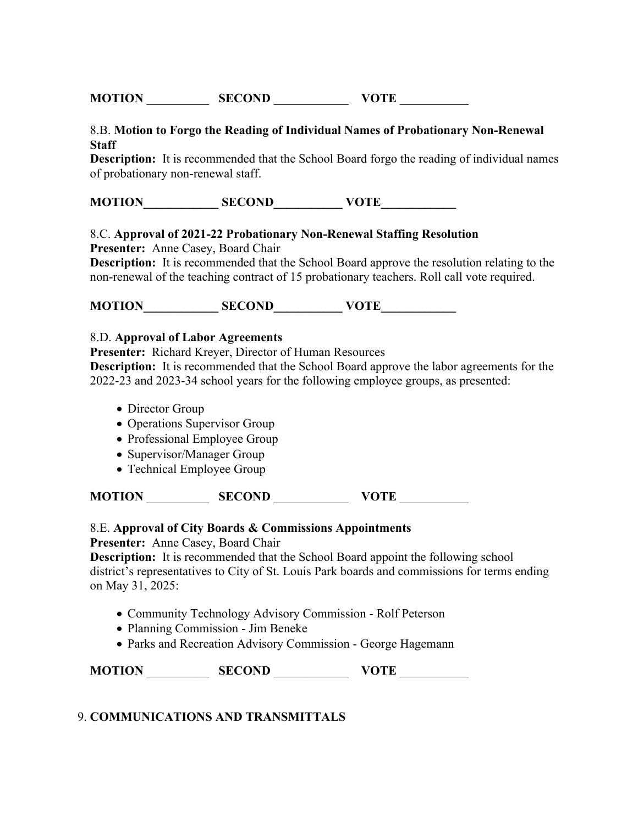| <b>MOTION</b> | <b>SECOND</b> | <b>VOTE</b> |
|---------------|---------------|-------------|
|               |               |             |

8.B. **Motion to Forgo the Reading of Individual Names of Probationary Non-Renewal Staff**

**Description:** It is recommended that the School Board forgo the reading of individual names of probationary non-renewal staff.

| <b>MOTION</b><br><b>SECOND</b> | <b>VOTE</b> |
|--------------------------------|-------------|
|--------------------------------|-------------|

#### 8.C. **Approval of 2021-22 Probationary Non-Renewal Staffing Resolution**

**Presenter:** Anne Casey, Board Chair

**Description:** It is recommended that the School Board approve the resolution relating to the non-renewal of the teaching contract of 15 probationary teachers. Roll call vote required.

**MOTION SECOND VOTE** 

#### 8.D. **Approval of Labor Agreements**

**Presenter:** Richard Kreyer, Director of Human Resources

**Description:** It is recommended that the School Board approve the labor agreements for the 2022-23 and 2023-34 school years for the following employee groups, as presented:

- Director Group
- Operations Supervisor Group
- Professional Employee Group
- Supervisor/Manager Group
- Technical Employee Group

**MOTION** \_\_\_\_\_\_\_\_\_\_ **SECOND** \_\_\_\_\_\_\_\_\_\_\_\_ **VOTE** \_\_\_\_\_\_\_\_\_\_\_

#### 8.E. **Approval of City Boards & Commissions Appointments**

**Presenter:** Anne Casey, Board Chair

**Description:** It is recommended that the School Board appoint the following school district's representatives to City of St. Louis Park boards and commissions for terms ending on May 31, 2025:

- Community Technology Advisory Commission Rolf Peterson
- Planning Commission Jim Beneke
- Parks and Recreation Advisory Commission George Hagemann

| <b>MOTION</b> | <b>SECOND</b> | <b>VOTE</b> |
|---------------|---------------|-------------|
|               |               |             |

#### 9. **COMMUNICATIONS AND TRANSMITTALS**